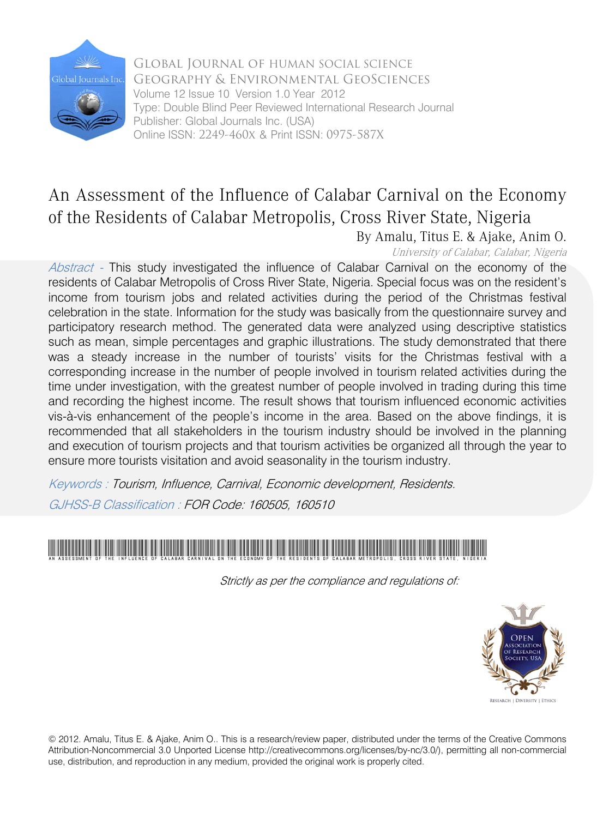

Global Journal of HUMAN SOCIAL SCIENCE Geography & Environmental GeoSciences Volume 12 Issue 10 Version 1.0 Year 2012 Type: Double Blind Peer Reviewed International Research Journal Publisher: Global Journals Inc. (USA) Online ISSN: 2249-460x & Print ISSN: 0975-587X

## An Assessment of the Influence of Calabar Carnival on the Economy of the Residents of Calabar Metropolis, Cross River State, Nigeria

By Amalu, Titus E. & Ajake, Anim O. University of Calabar, Calabar, Nigeria

Abstract - This study investigated the influence of Calabar Carnival on the economy of the residents of Calabar Metropolis of Cross River State, Nigeria. Special focus was on the resident's income from tourism jobs and related activities during the period of the Christmas festival celebration in the state. Information for the study was basically from the questionnaire survey and participatory research method. The generated data were analyzed using descriptive statistics such as mean, simple percentages and graphic illustrations. The study demonstrated that there was a steady increase in the number of tourists' visits for the Christmas festival with a corresponding increase in the number of people involved in tourism related activities during the time under investigation, with the greatest number of people involved in trading during this time and recording the highest income. The result shows that tourism influenced economic activities vis-à-vis enhancement of the people's income in the area. Based on the above findings, it is recommended that all stakeholders in the tourism industry should be involved in the planning and execution of tourism projects and that tourism activities be organized all through the year to ensure more tourists visitation and avoid seasonality in the tourism industry.

Keywords : Tourism, Influence, Carnival, Economic development, Residents.

GJHSS-B Classification : FOR Code: 160505, 160510



Strictly as per the compliance and regulations of:



© 2012. Amalu, Titus E. & Ajake, Anim O.. This is a research/review paper, distributed under the terms of the Creative Commons Attribution-Noncommercial 3.0 Unported License http://creativecommons.org/licenses/by-nc/3.0/), permitting all non-commercial use, distribution, and reproduction in any medium, provided the original work is properly cited.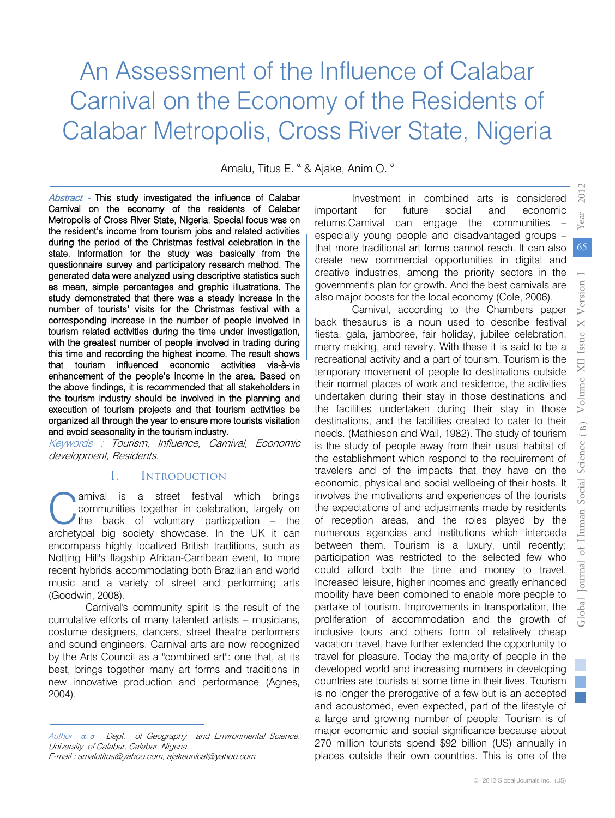# An Assessment of the Influence of Calabar Carnival on the Economy of the Residents of Calabar Metropolis, Cross River State, Nigeria

Amalu, Titus E. <sup>α</sup> & Ajake, Anim O. <sup>σ</sup>

Abstract - This study investigated the influence of Calabar Carnival on the economy of the residents of Calabar Metropolis of Cross River State, Nigeria. Special focus was on the resident's income from tourism jobs and related activities during the period of the Christmas festival celebration in the state. Information for the study was basically from the questionnaire survey and participatory research method. The generated data were analyzed using descriptive statistics such as mean, simple percentages and graphic illustrations. The study demonstrated that there was a steady increase in the number of tourists' visits for the Christmas festival with a corresponding increase in the number of people involved in tourism related activities during the time under investigation, with the greatest number of people involved in trading during this time and recording the highest income. The result shows that tourism influenced economic activities vis-à-vis enhancement of the people's income in the area. Based on the above findings, it is recommended that all stakeholders in the tourism industry should be involved in the planning and execution of tourism projects and that tourism activities be organized all through the year to ensure more tourists visitation and avoid seasonality in the tourism industry.

Keywords : Tourism, Influence, Carnival, Economic development, Residents.

#### **INTRODUCTION** I.

arnival is a street festival which brings communities together in celebration, largely on the back of voluntary participation – the arnival is a street festival which brings communities together in celebration, largely on the back of voluntary participation – the archetypal big society showcase. In the UK it can encompass highly localized British traditions, such as Notting Hill's flagship African-Carribean event, to more recent hybrids accommodating both Brazilian and world music and a variety of street and performing arts (Goodwin, 2008).

Carnival's community spirit is the result of the cumulative efforts of many talented artists – musicians, and sound engineers. Carnival arts are now recognized by the [Arts Council](http://www.artscouncil.org.uk/) as a "combined art": one that, at its best, brings together many art forms and traditions in new innovative production and performance (Agnes, 2004). costume designers, dancers, street theatre performers

Author *α σ* : Dept. of Geography and Environmental Science. Univer[sity of Calabar, Calabar, Ni](mailto:ajakeunical@yahoo.com)geria. E-mail : amalutitus@yahoo.com, ajakeunical@yahoo.com

Investment in combined arts is considered important for future social and economic returns.Carnival can engage the communities – especially young people and disadvantaged groups – that more traditional art forms cannot reach. It can also create new commercial opportunities in digital and creative industries, among the priority sectors in the government's plan [for growth.](http://cdn.hm-treasury.gov.uk/2011budget_growth.pdf) And the best carnivals are also major boosts for the local economy (Cole, 2006).

Carnival, according to the Chambers paper back thesaurus is a noun used to describe festival fiesta, gala, jamboree, fair holiday, jubilee celebration, merry making, and revelry. With these it is said to be a recreational activity and a part of tourism. Tourism is the temporary movement of people to destinations outside their normal places of work and residence, the activities undertaken during their stay in those destinations and the facilities undertaken during their stay in those destinations, and the facilities created to cater to their needs. (Mathieson and Wail, 1982). The study of tourism is the study of people away from their usual habitat of the establishment which respond to the requirement of travelers and of the impacts that they have on the economic, physical and social wellbeing of their hosts. It involves the motivations and experiences of the tourists the expectations of and adjustments made by residents of reception areas, and the roles played by the numerous agencies and institutions which intercede between them. Tourism is a luxury, until recently; participation was restricted to the selected few who could afford both the time and money to travel. Increased leisure, higher incomes and greatly enhanced mobility have been combined to enable more people to partake of tourism. Improvements in transportation, the proliferation of accommodation and the growth of inclusive tours and others form of relatively cheap vacation travel, have further extended the opportunity to travel for pleasure. Today the majority of people in the developed world and increasing numbers in developing countries are tourists at some time in their lives. Tourism is no longer the prerogative of a few but is an accepted and accustomed, even expected, part of the lifestyle of a large and growing number of people. Tourism is of major economic and social significance because about 270 million tourists spend \$92 billion (US) annually in places outside their own countries. This is one of the

65

*2012*

Year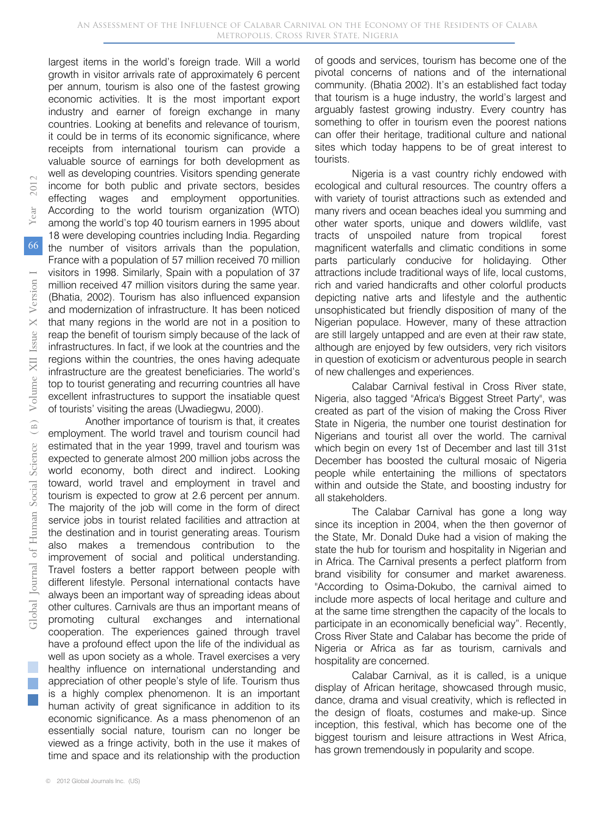largest items in the world's foreign trade. Will a world growth in visitor arrivals rate of approximately 6 percent per annum, tourism is also one of the fastest growing economic activities. It is the most important export industry and earner of foreign exchange in many countries. Looking at benefits and relevance of tourism, it could be in terms of its economic significance, where receipts from international tourism can provide a valuable source of earnings for both development as well as developing countries. Visitors spending generate income for both public and private sectors, besides effecting wages and employment opportunities. According to the world tourism organization (WTO) among the world's top 40 tourism earners in 1995 about 18 were developing countries including India. Regarding the number of visitors arrivals than the population, France with a population of 57 million received 70 million visitors in 1998. Similarly, Spain with a population of 37 million received 47 million visitors during the same year. (Bhatia, 2002). Tourism has also influenced expansion and modernization of infrastructure. It has been noticed that many regions in the world are not in a position to reap the benefit of tourism simply because of the lack of infrastructures. In fact, if we look at the countries and the regions within the countries, the ones having adequate infrastructure are the greatest beneficiaries. The world's top to tourist generating and recurring countries all have excellent infrastructures to support the insatiable quest of tourists' visiting the areas (Uwadiegwu, 2000).

Another importance of tourism is that, it creates employment. The world travel and tourism council had estimated that in the year 1999, travel and tourism was expected to generate almost 200 million jobs across the world economy, both direct and indirect. Looking toward, world travel and employment in travel and tourism is expected to grow at 2.6 percent per annum. The majority of the job will come in the form of direct service jobs in tourist related facilities and attraction at the destination and in tourist generating areas. Tourism also makes a tremendous contribution to the improvement of social and political understanding. Travel fosters a better rapport between people with different lifestyle. Personal international contacts have always been an important way of spreading ideas about other cultures. Carnivals are thus an important means of promoting cultural exchanges and international cooperation. The experiences gained through travel have a profound effect upon the life of the individual as well as upon society as a whole. Travel exercises a very healthy influence on international understanding and appreciation of other people's style of life. Tourism thus is a highly complex phenomenon. It is an important human activity of great significance in addition to its economic significance. As a mass phenomenon of an essentially social nature, tourism can no longer be viewed as a fringe activity, both in the use it makes of time and space and its relationship with the production

of goods and services, tourism has become one of the pivotal concerns of nations and of the international community. (Bhatia 2002). It's an established fact today that tourism is a huge industry, the world's largest and arguably fastest growing industry. Every country has something to offer in tourism even the poorest nations can offer their heritage, traditional culture and national sites which today happens to be of great interest to tourists.

Nigeria is a vast country richly endowed with ecological and cultural resources. The country offers a with variety of tourist attractions such as extended and many rivers and ocean beaches ideal you summing and other water sports, unique and dowers wildlife, vast tracts of unspoiled nature from tropical forest magnificent waterfalls and climatic conditions in some parts particularly conducive for holidaying. Other attractions include traditional ways of life, local customs, rich and varied handicrafts and other colorful products depicting native arts and lifestyle and the authentic unsophisticated but friendly disposition of many of the Nigerian populace. However, many of these attraction are still largely untapped and are even at their raw state, although are enjoyed by few outsiders, very rich visitors in question of exoticism or adventurous people in search of new challenges and experiences.

Calabar Carnival festival in Cross River state, Nigeria, also tagged "Africa's Biggest Street Party", was created as part of the vision of making the Cross River State in Nigeria, the number one tourist destination for Nigerians and tourist all over the world. The carnival which begin on every 1st of December and last till 31st December has boosted the cultural mosaic of Nigeria people while entertaining the millions of spectators within and outside the State, and boosting industry for all stakeholders.

The Calabar Carnival has gone a long way since its inception in 2004, when the then governor of the State, Mr. Donald Duke had a vision of making the state the hub for tourism and hospitality in Nigerian and in Africa. The Carnival presents a perfect platform from brand visibility for consumer and market awareness. "According to Osima-Dokubo, the carnival aimed to include more aspects of local heritage and culture and at the same time strengthen the capacity of the locals to participate in an economically beneficial way". Recently, Cross River State and Calabar has become the pride of Nigeria or Africa as far as tourism, carnivals and hospitality are concerned.

Calabar Carnival, as it is called, is a unique display of African heritage, showcased through music, dance, drama and visual creativity, which is reflected in the design of floats, costumes and make-up. Since inception, this festival, which has become one of the biggest tourism and leisure attractions in West Africa, has grown tremendously in popularity and scope.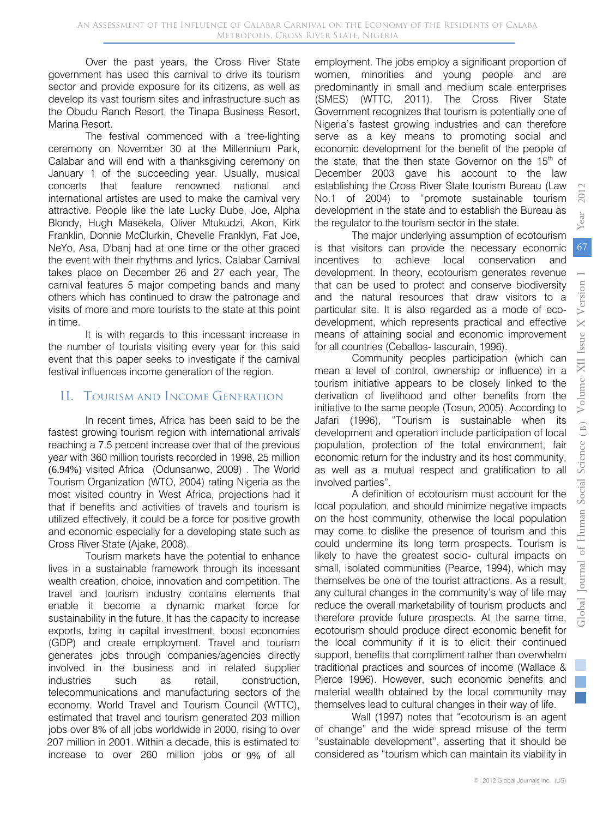Over the past years, the Cross River State government has used this carnival to drive its tourism sector and provide exposure for its citizens, as well as develop its vast tourism sites and infrastructure such as the Obudu Ranch Resort, the Tinapa Business Resort, Marina Resort.

The festival commenced with a tree-lighting ceremony on November 30 at the Millennium Park, Calabar and will end with a thanksgiving ceremony on January 1 of the succeeding year. Usually, musical concerts that feature renowned national and international artistes are used to make the carnival very attractive. People like the late Lucky Dube, Joe, Alpha Blondy, Hugh Masekela, Oliver Mtukudzi, Akon, Kirk Franklin, Donnie McClurkin, Chevelle Franklyn, Fat Joe, NeYo, Asa, D'banj had at one time or the other graced the event with their rhythms and lyrics. Calabar Carnival takes place on December 26 and 27 each year, The carnival features 5 major competing bands and many others which has continued to draw the patronage and visits of more and more tourists to the state at this point in time.

It is with regards to this incessant increase in the number of tourists visiting every year for this said event that this paper seeks to investigate if the carnival festival influences income generation of the region.

## II. TOURISM AND INCOME GENERATION

In recent times, Africa has been said to be the fastest growing tourism region with international arrivals reaching a 7.5 percent increase over that of the previous year with 360 million tourists recorded in 1998, 25 million (6.94%) visited Africa (Odunsanwo, 2009) . The World Tourism Organization (WTO, 2004) rating Nigeria as the most visited country in West Africa, projections had it that if benefits and activities of travels and tourism is utilized effectively, it could be a force for positive growth and economic especially for a developing state such as Cross River State (Ajake, 2008).

Tourism markets have the potential to enhance lives in a sustainable framework through its incessant wealth creation, choice, innovation and competition. The travel and tourism industry contains elements that enable it become a dynamic market force for sustainability in the future. It has the capacity to increase exports, bring in capital investment, boost economies (GDP) and create employment. Travel and tourism generates jobs through companies/agencies directly involved in the business and in related supplier industries such as retail, construction, telecommunications and manufacturing sectors of the economy. World Travel and Tourism Council (WTTC), estimated that travel and tourism generated 203 million jobs over 8% of all jobs worldwide in 2000, rising to over 207 million in 2001. Within a decade, this is estimated to increase to over 260 million jobs or 9% of all

employment. The jobs employ a significant proportion of women, minorities and young people and are predominantly in small and medium scale enterprises (SMES) (WTTC, 2011). The Cross River State Government recognizes that tourism is potentially one of Nigeria's fastest growing industries and can therefore serve as a key means to promoting social and economic development for the benefit of the people of the state, that the then state Governor on the  $15<sup>th</sup>$  of December 2003 gave his account to the law establishing the Cross River State tourism Bureau (Law No.1 of 2004) to "promote sustainable tourism development in the state and to establish the Bureau as the regulator to the tourism sector in the state.

The major underlying assumption of ecotourism is that visitors can provide the necessary economic incentives to achieve local conservation and development. In theory, ecotourism generates revenue that can be used to protect and conserve biodiversity and the natural resources that draw visitors to a particular site. It is also regarded as a mode of ecodevelopment, which represents practical and effective means of attaining social and economic improvement for all countries (Ceballos- lascurain, 1996). Year

Community peoples participation (which can mean a level of control, ownership or influence) in a tourism initiative appears to be closely linked to the derivation of livelihood and other benefits from the initiative to the same people (Tosun, 2005). According to Jafari (1996), "Tourism is sustainable when its development and operation include participation of local population, protection of the total environment, fair economic return for the industry and its host community, as well as a mutual respect and gratification to all involved parties".

A definition of ecotourism must account for the local population, and should minimize negative impacts on the host community, otherwise the local population may come to dislike the presence of tourism and this could undermine its long term prospects. Tourism is likely to have the greatest socio- cultural impacts on small, isolated communities (Pearce, 1994), which may themselves be one of the tourist attractions. As a result, any cultural changes in the community's way of life may reduce the overall marketability of tourism products and therefore provide future prospects. At the same time, ecotourism should produce direct economic benefit for the local community if it is to elicit their continued support, benefits that compliment rather than overwhelm traditional practices and sources of income (Wallace & Pierce 1996). However, such economic benefits and material wealth obtained by the local community may themselves lead to cultural changes in their way of life.

Wall (1997) notes that "ecotourism is an agent of change" and the wide spread misuse of the term "sustainable development", asserting that it should be considered as "tourism which can maintain its viability in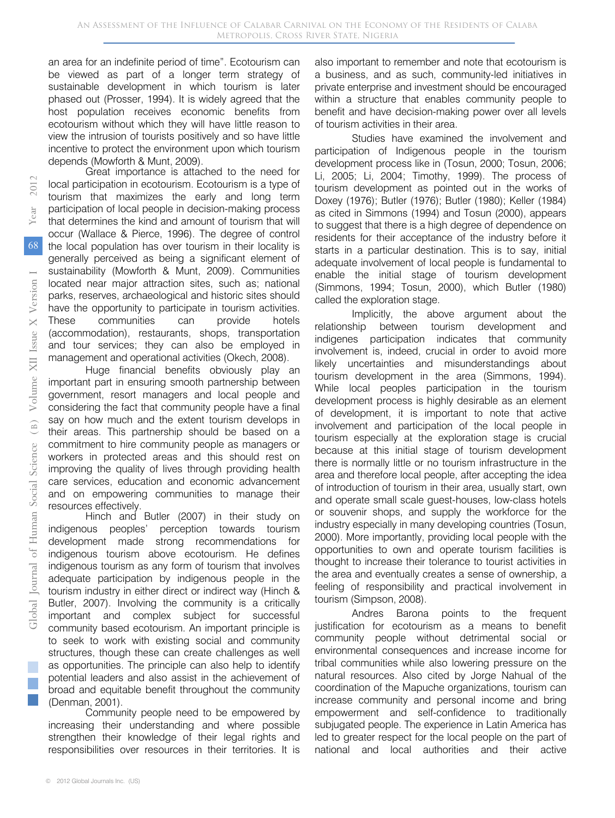an area for an indefinite period of time". Ecotourism can be viewed as part of a longer term strategy of sustainable development in which tourism is later phased out (Prosser, 1994). It is widely agreed that the host population receives economic benefits from ecotourism without which they will have little reason to view the intrusion of tourists positively and so have little incentive to protect the environment upon which tourism depends (Mowforth & Munt, 2009).

Great importance is attached to the need for local participation in ecotourism. Ecotourism is a type of tourism that maximizes the early and long term participation of local people in decision-making process that determines the kind and amount of tourism that will occur (Wallace & Pierce, 1996). The degree of control the local population has over tourism in their locality is generally perceived as being a significant element of sustainability (Mowforth & Munt, 2009). Communities located near major attraction sites, such as; national parks, reserves, archaeological and historic sites should have the opportunity to participate in tourism activities. These communities can provide hotels (accommodation), restaurants, shops, transportation and tour services; they can also be employed in management and operational activities (Okech, 2008).

Huge financial benefits obviously play an important part in ensuring smooth partnership between government, resort managers and local people and considering the fact that community people have a final say on how much and the extent tourism develops in their areas. This partnership should be based on a commitment to hire community people as managers or workers in protected areas and this should rest on improving the quality of lives through providing health care services, education and economic advancement and on empowering communities to manage their resources effectively.

Hinch and Butler (2007) in their study on indigenous peoples' perception towards tourism development made strong recommendations for indigenous tourism above ecotourism. He defines indigenous tourism as any form of tourism that involves adequate participation by indigenous people in the tourism industry in either direct or indirect way (Hinch & Butler, 2007). Involving the community is a critically important and complex subject for successful community based ecotourism. An important principle is to seek to work with existing social and community structures, though these can create challenges as well as opportunities. The principle can also help to identify potential leaders and also assist in the achievement of broad and equitable benefit throughout the community (Denman, 2001).

Community people need to be empowered by increasing their understanding and where possible strengthen their knowledge of their legal rights and responsibilities over resources in their territories. It is

also important to remember and note that ecotourism is a business, and as such, community-led initiatives in private enterprise and investment should be encouraged within a structure that enables community people to benefit and have decision-making power over all levels of tourism activities in their area.

Studies have examined the involvement and participation of Indigenous people in the tourism development process like in (Tosun, 2000; Tosun, 2006; Li, 2005; Li, 2004; Timothy, 1999). The process of tourism development as pointed out in the works of Doxey (1976); Butler (1976); Butler (1980); Keller (1984) as cited in Simmons (1994) and Tosun (2000), appears to suggest that there is a high degree of dependence on residents for their acceptance of the industry before it starts in a particular destination. This is to say, initial adequate involvement of local people is fundamental to enable the initial stage of tourism development (Simmons, 1994; Tosun, 2000), which Butler (1980) called the exploration stage.

Implicitly, the above argument about the relationship between tourism development and indigenes participation indicates that community involvement is, indeed, crucial in order to avoid more likely uncertainties and misunderstandings about tourism development in the area (Simmons, 1994). While local peoples participation in the tourism development process is highly desirable as an element of development, it is important to note that active involvement and participation of the local people in tourism especially at the exploration stage is crucial because at this initial stage of tourism development there is normally little or no tourism infrastructure in the area and therefore local people, after accepting the idea of introduction of tourism in their area, usually start, own and operate small scale guest-houses, low-class hotels or souvenir shops, and supply the workforce for the industry especially in many developing countries (Tosun, 2000). More importantly, providing local people with the opportunities to own and operate tourism facilities is thought to increase their tolerance to tourist activities in the area and eventually creates a sense of ownership, a feeling of responsibility and practical involvement in tourism (Simpson, 2008).

Andres Barona points to the frequent justification for ecotourism as a means to benefit community people without detrimental social or environmental consequences and increase income for tribal communities while also lowering pressure on the natural resources. Also cited by Jorge Nahual of the coordination of the Mapuche organizations, tourism can increase community and personal income and bring empowerment and self-confidence to traditionally subjugated people. The experience in Latin America has led to greater respect for the local people on the part of national and local authorities and their active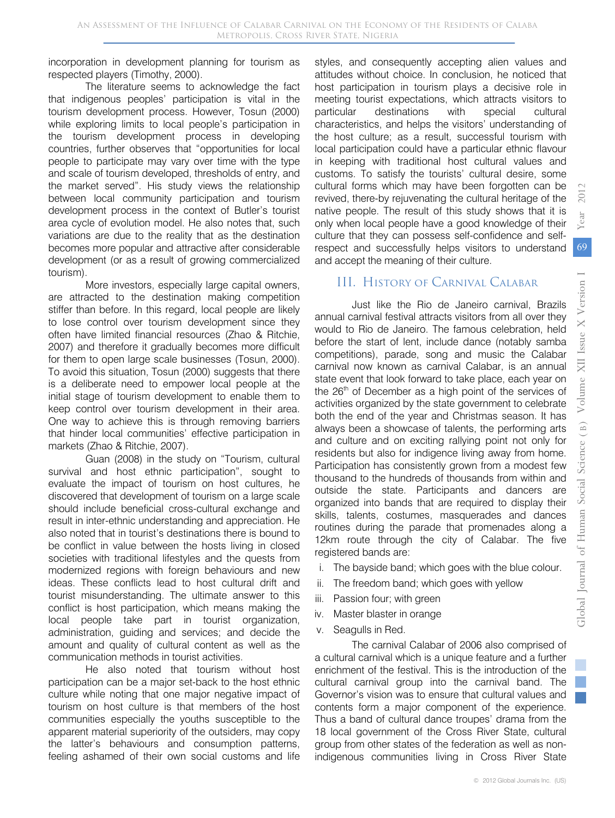incorporation in development planning for tourism as respected players (Timothy, 2000).

The literature seems to acknowledge the fact that indigenous peoples' participation is vital in the tourism development process. However, Tosun (2000) while exploring limits to local people's participation in the tourism development process in developing countries, further observes that "opportunities for local people to participate may vary over time with the type and scale of tourism developed, thresholds of entry, and the market served". His study views the relationship between local community participation and tourism development process in the context of Butler's tourist area cycle of evolution model. He also notes that, such variations are due to the reality that as the destination becomes more popular and attractive after considerable development (or as a result of growing commercialized tourism).

More investors, especially large capital owners, are attracted to the destination making competition stiffer than before. In this regard, local people are likely to lose control over tourism development since they often have limited financial resources (Zhao & Ritchie, 2007) and therefore it gradually becomes more difficult for them to open large scale businesses (Tosun, 2000). To avoid this situation, Tosun (2000) suggests that there is a deliberate need to empower local people at the initial stage of tourism development to enable them to keep control over tourism development in their area. One way to achieve this is through removing barriers that hinder local communities' effective participation in markets (Zhao & Ritchie, 2007).

Guan (2008) in the study on "Tourism, cultural survival and host ethnic participation", sought to evaluate the impact of tourism on host cultures, he discovered that development of tourism on a large scale should include beneficial cross-cultural exchange and result in inter-ethnic understanding and appreciation. He also noted that in tourist's destinations there is bound to be conflict in value between the hosts living in closed societies with traditional lifestyles and the quests from modernized regions with foreign behaviours and new ideas. These conflicts lead to host cultural drift and tourist misunderstanding. The ultimate answer to this conflict is host participation, which means making the local people take part in tourist organization, administration, guiding and services; and decide the amount and quality of cultural content as well as the communication methods in tourist activities.

He also noted that tourism without host participation can be a major set-back to the host ethnic culture while noting that one major negative impact of tourism on host culture is that members of the host communities especially the youths susceptible to the apparent material superiority of the outsiders, may copy the latter's behaviours and consumption patterns, feeling ashamed of their own social customs and life styles, and consequently accepting alien values and attitudes without choice. In conclusion, he noticed that host participation in tourism plays a decisive role in meeting tourist expectations, which attracts visitors to particular destinations with special cultural characteristics, and helps the visitors' understanding of the host culture; as a result, successful tourism with local participation could have a particular ethnic flavour in keeping with traditional host cultural values and customs. To satisfy the tourists' cultural desire, some cultural forms which may have been forgotten can be revived, there-by rejuvenating the cultural heritage of the native people. The result of this study shows that it is only when local people have a good knowledge of their culture that they can possess self-confidence and selfrespect and successfully helps visitors to understand and accept the meaning of their culture.

## History of Carnival Calabar III.

Just like the Rio de Janeiro carnival, Brazils annual carnival festival attracts visitors from all over they would to Rio de Janeiro. The famous celebration, held before the start of lent, include dance (notably samba competitions), parade, song and music the Calabar carnival now known as carnival Calabar, is an annual state event that look forward to take place, each year on the 26<sup>th</sup> of December as a high point of the services of activities organized by the state government to celebrate both the end of the year and Christmas season. It has always been a showcase of talents, the performing arts and culture and on exciting rallying point not only for residents but also for indigence living away from home. Participation has consistently grown from a modest few thousand to the hundreds of thousands from within and outside the state. Participants and dancers are organized into bands that are required to display their skills, talents, costumes, masquerades and dances routines during the parade that promenades along a 12km route through the city of Calabar. The five registered bands are:

- i. The bayside band; which goes with the blue colour.
- ii. The freedom band; which goes with yellow
- iii. Passion four; with green
- iv. Master blaster in orange
- v. Seagulls in Red.

The carnival Calabar of 2006 also comprised of a cultural carnival which is a unique feature and a further enrichment of the festival. This is the introduction of the cultural carnival group into the carnival band. The Governor's vision was to ensure that cultural values and contents form a major component of the experience. Thus a band of cultural dance troupes' drama from the 18 local government of the Cross River State, cultural group from other states of the federation as well as nonindigenous communities living in Cross River State *2012*

Year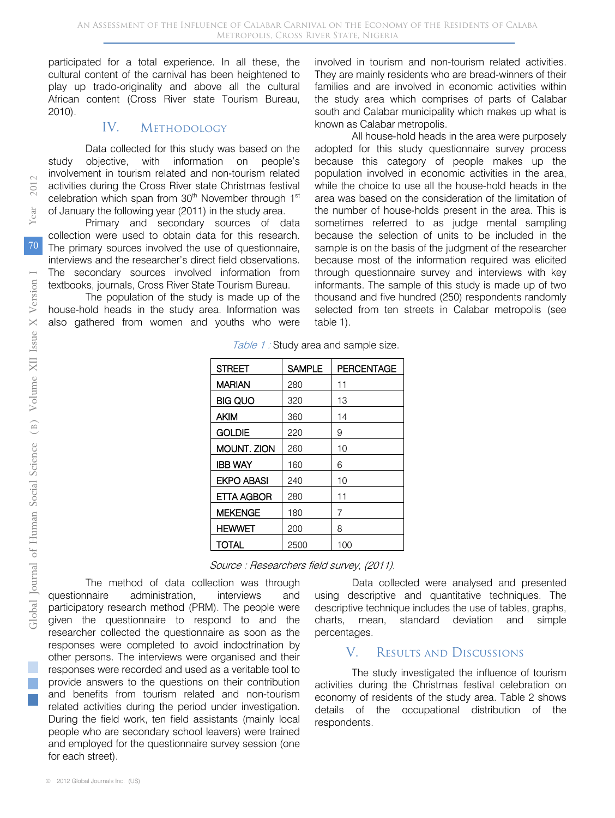participated for a total experience. In all these, the cultural content of the carnival has been heightened to play up trado-originality and above all the cultural African content (Cross River state Tourism Bureau, 2010).

#### **METHODOLOGY** IV.

Data collected for this study was based on the study objective, with information on people's involvement in tourism related and non-tourism related activities during the Cross River state Christmas festival celebration which span from 30<sup>th</sup> November through 1<sup>st</sup> of January the following year (2011) in the study area.

Primary and secondary sources of data collection were used to obtain data for this research. The primary sources involved the use of questionnaire, interviews and the researcher's direct field observations. The secondary sources involved information from textbooks, journals, Cross River State Tourism Bureau.

The population of the study is made up of the house-hold heads in the study area. Information was also gathered from women and youths who were

involved in tourism and non-tourism related activities. They are mainly residents who are bread-winners of their families and are involved in economic activities within the study area which comprises of parts of Calabar south and Calabar municipality which makes up what is known as Calabar metropolis.

All house-hold heads in the area were purposely adopted for this study questionnaire survey process because this category of people makes up the population involved in economic activities in the area, while the choice to use all the house-hold heads in the area was based on the consideration of the limitation of the number of house-holds present in the area. This is sometimes referred to as judge mental sampling because the selection of units to be included in the sample is on the basis of the judgment of the researcher because most of the information required was elicited through questionnaire survey and interviews with key informants. The sample of this study is made up of two thousand and five hundred (250) respondents randomly selected from ten streets in Calabar metropolis (see table 1).

Table 1 : Study area and sample size.

| <b>STREET</b>      | <b>SAMPLE</b> | <b>PERCENTAGE</b> |
|--------------------|---------------|-------------------|
| <b>MARIAN</b>      | 280           | 11                |
| BIG QUO            | 320           | 13                |
| <b>AKIM</b>        | 360           | 14                |
| <b>GOLDIE</b>      | 220           | 9                 |
| <b>MOUNT. ZION</b> | 260           | 10                |
| <b>IBB WAY</b>     | 160           | 6                 |
| <b>EKPO ABASI</b>  | 240           | 10                |
| ETTA AGBOR         | 280           | 11                |
| <b>MEKENGE</b>     | 180           | 7                 |
| <b>HEWWET</b>      | 200           | 8                 |
| <b>TOTAL</b>       | 2500          | 100               |

Source : Researchers field survey, (2011).

The method of data collection was through questionnaire administration, interviews and participatory research method (PRM). The people were given the questionnaire to respond to and the researcher collected the questionnaire as soon as the responses were completed to avoid indoctrination by other persons. The interviews were organised and their responses were recorded and used as a veritable tool to provide answers to the questions on their contribution and benefits from tourism related and non-tourism related activities during the period under investigation. During the field work, ten field assistants (mainly local people who are secondary school leavers) were trained and employed for the questionnaire survey session (one for each street).

Data collected were analysed and presented using descriptive and quantitative techniques. The descriptive technique includes the use of tables, graphs, charts, mean, standard deviation and simple percentages.

#### Results and Discussions V.

The study investigated the influence of tourism activities during the Christmas festival celebration on economy of residents of the study area. Table 2 shows details of the occupational distribution of the respondents.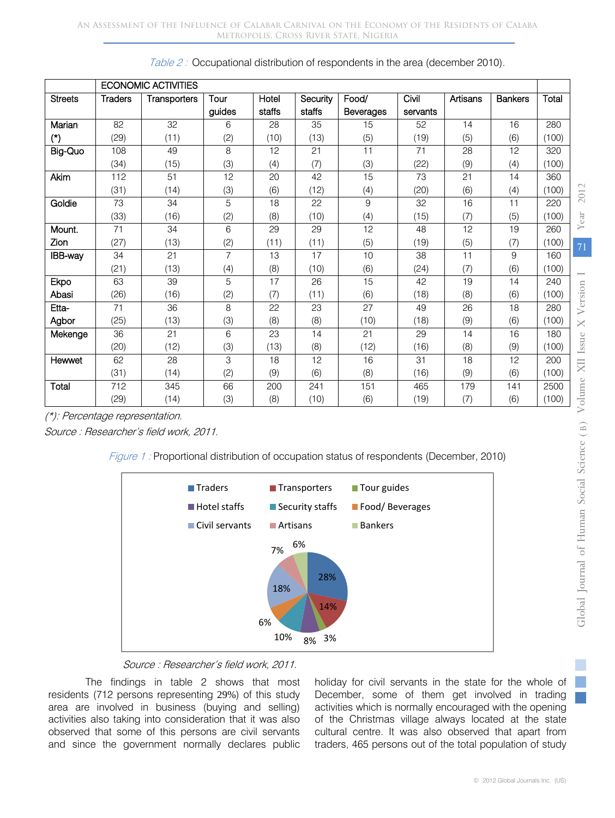|                |                | <b>ECONOMIC ACTIVITIES</b> |                |        |          |                  |          |          |                |       |          |
|----------------|----------------|----------------------------|----------------|--------|----------|------------------|----------|----------|----------------|-------|----------|
| <b>Streets</b> | <b>Traders</b> | Transporters               | Tour           | Hotel  | Security | Food/            | Civil    | Artisans | <b>Bankers</b> | Total |          |
|                |                |                            | guides         | staffs | staffs   | <b>Beverages</b> | servants |          |                |       |          |
| Marian         | 82             | 32                         | 6              | 28     | 35       | 15               | 52       | 14       | 16             | 280   |          |
| $(*)$          | (29)           | (11)                       | (2)            | (10)   | (13)     | (5)              | (19)     | (5)      | (6)            | (100) |          |
| Big-Quo        | 108            | 49                         | 8              | 12     | 21       | 11               | 71       | 28       | 12             | 320   |          |
|                | (34)           | (15)                       | (3)            | (4)    | (7)      | (3)              | (22)     | (9)      | (4)            | (100) |          |
| Akim           | 112            | 51                         | 12             | 20     | 42       | 15               | 73       | 21       | 14             | 360   |          |
|                | (31)           | (14)                       | (3)            | (6)    | (12)     | (4)              | (20)     | (6)      | (4)            | (100) | 2012     |
| Goldie         | 73             | 34                         | 5              | 18     | 22       | 9                | 32       | 16       | 11             | 220   |          |
|                | (33)           | (16)                       | (2)            | (8)    | (10)     | (4)              | (15)     | (7)      | (5)            | (100) | Year     |
| Mount.         | 71             | 34                         | 6              | 29     | 29       | 12               | 48       | 12       | 19             | 260   |          |
| Zion           | (27)           | (13)                       | (2)            | (11)   | (11)     | (5)              | (19)     | (5)      | (7)            | (100) | 71       |
| IBB-way        | 34             | 21                         | $\overline{7}$ | 13     | 17       | 10               | 38       | 11       | 9              | 160   |          |
|                | (21)           | (13)                       | (4)            | (8)    | (10)     | (6)              | (24)     | (7)      | (6)            | (100) |          |
| Ekpo           | 63             | 39                         | 5              | 17     | 26       | 15               | 42       | 19       | 14             | 240   |          |
| Abasi          | (26)           | (16)                       | (2)            | (7)    | (11)     | (6)              | (18)     | (8)      | (6)            | (100) |          |
| Etta-          | 71             | 36                         | 8              | 22     | 23       | 27               | 49       | 26       | 18             | 280   | Version  |
| Agbor          | (25)           | (13)                       | (3)            | (8)    | (8)      | (10)             | (18)     | (9)      | (6)            | (100) | $\times$ |
| Mekenge        | 36             | 21                         | 6              | 23     | 14       | 21               | 29       | 14       | 16             | 180   |          |
|                | (20)           | (12)                       | (3)            | (13)   | (8)      | (12)             | (16)     | (8)      | (9)            | (100) | Issue    |
| Hewwet         | 62             | 28                         | 3              | 18     | 12       | 16               | 31       | 18       | 12             | 200   | XII      |
|                | (31)           | (14)                       | (2)            | (9)    | (6)      | (8)              | (16)     | (9)      | (6)            | (100) |          |
| Total          | 712            | 345                        | 66             | 200    | 241      | 151              | 465      | 179      | 141            | 2500  |          |
|                | (29)           | (14)                       | (3)            | (8)    | (10)     | (6)              | (19)     | (7)      | (6)            | (100) | Volume   |

Table 2: Occupational distribution of respondents in the area (december 2010).

(\*): Percentage representation.

Source : Researcher's field work, 2011.





Source : Researcher's field work, 2011.

The findings in table 2 shows that most residents (712 persons representing 29%) of this study area are involved in business (buying and selling) activities also taking into consideration that it was also observed that some of this persons are civil servants and since the government normally declares public holiday for civil servants in the state for the whole of December, some of them get involved in trading activities which is normally encouraged with the opening of the Christmas village always located at the state cultural centre. It was also observed that apart from traders, 465 persons out of the total population of study

in 1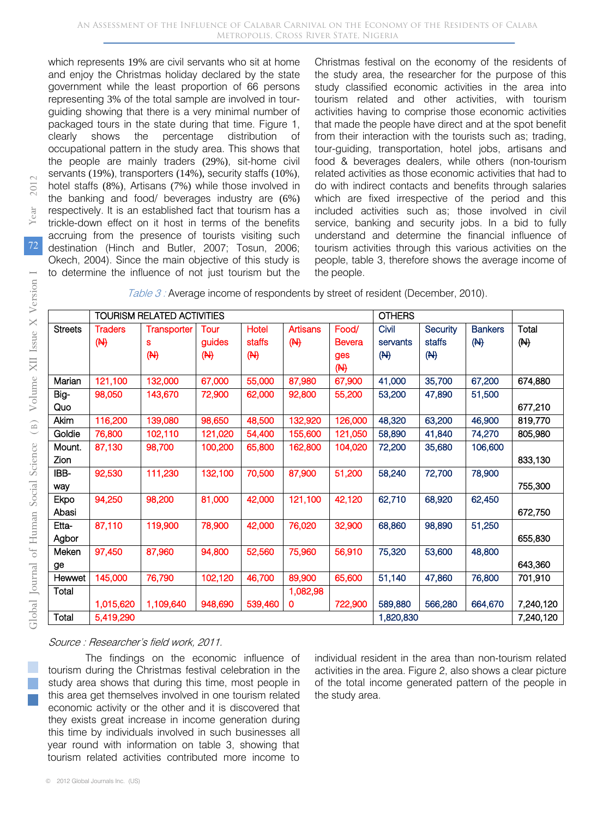which represents 19% are civil servants who sit at home and enjoy the Christmas holiday declared by the state government while the least proportion of 66 persons representing 3% of the total sample are involved in tourguiding showing that there is a very minimal number of packaged tours in the state during that time. Figure 1, clearly shows the percentage distribution of occupational pattern in the study area. This shows that the people are mainly traders (29%), sit-home civil servants (19%), transporters (14%), security staffs (10%), hotel staffs (8%), Artisans (7%) while those involved in the banking and food/ beverages industry are (6%) respectively. It is an established fact that tourism has a trickle-down effect on it host in terms of the benefits accruing from the presence of tourists visiting such destination (Hinch and Butler, 2007; Tosun, 2006; Okech, 2004). Since the main objective of this study is to determine the influence of not just tourism but the

Christmas festival on the economy of the residents of the study area, the researcher for the purpose of this study classified economic activities in the area into tourism related and other activities, with tourism activities having to comprise those economic activities that made the people have direct and at the spot benefit from their interaction with the tourists such as; trading, tour-guiding, transportation, hotel jobs, artisans and food & beverages dealers, while others (non-tourism related activities as those economic activities that had to do with indirect contacts and benefits through salaries which are fixed irrespective of the period and this included activities such as; those involved in civil service, banking and security jobs. In a bid to fully understand and determine the financial influence of tourism activities through this various activities on the people, table 3, therefore shows the average income of the people.

|  | Table 3 : Average income of respondents by street of resident (December, 2010). |  |
|--|---------------------------------------------------------------------------------|--|
|--|---------------------------------------------------------------------------------|--|

|                | <b>OTHERS</b><br><b>TOURISM RELATED ACTIVITIES</b> |                    |                |                |                 |               |          |          |                |           |
|----------------|----------------------------------------------------|--------------------|----------------|----------------|-----------------|---------------|----------|----------|----------------|-----------|
| <b>Streets</b> | <b>Traders</b>                                     | <b>Transporter</b> | Tour           | Hotel          | <b>Artisans</b> | Food/         | Civil    | Security | <b>Bankers</b> | Total     |
|                | $(\biguplus$                                       | S                  | guides         | staffs         | $(\mathbb{H})$  | <b>Bevera</b> | servants | staffs   | (M)            | (M)       |
|                |                                                    | $(\biguplus$       | $(\mathsf{H})$ | $(\mathsf{H})$ |                 | ges           | (M)      | (M)      |                |           |
|                |                                                    |                    |                |                |                 | ( H )         |          |          |                |           |
| Marian         | 121,100                                            | 132,000            | 67,000         | 55,000         | 87,980          | 67,900        | 41,000   | 35,700   | 67,200         | 674,880   |
| Big-           | 98,050                                             | 143,670            | 72,900         | 62,000         | 92,800          | 55,200        | 53,200   | 47,890   | 51,500         |           |
| Quo            |                                                    |                    |                |                |                 |               |          |          |                | 677,210   |
| Akim           | 116,200                                            | 139,080            | 98,650         | 48,500         | 132,920         | 126,000       | 48,320   | 63,200   | 46,900         | 819,770   |
| Goldie         | 76,800                                             | 102,110            | 121,020        | 54,400         | 155,600         | 121,050       | 58,890   | 41,840   | 74,270         | 805,980   |
| Mount.         | 87,130                                             | 98,700             | 100,200        | 65,800         | 162,800         | 104,020       | 72,200   | 35,680   | 106,600        |           |
| Zion           |                                                    |                    |                |                |                 |               |          |          |                | 833,130   |
| IBB-           | 92,530                                             | 111,230            | 132,100        | 70,500         | 87,900          | 51,200        | 58,240   | 72,700   | 78,900         |           |
| way            |                                                    |                    |                |                |                 |               |          |          |                | 755,300   |
| Ekpo           | 94,250                                             | 98,200             | 81,000         | 42,000         | 121,100         | 42,120        | 62,710   | 68,920   | 62,450         |           |
| Abasi          |                                                    |                    |                |                |                 |               |          |          |                | 672,750   |
| Etta-          | 87,110                                             | 119,900            | 78,900         | 42,000         | 76,020          | 32,900        | 68,860   | 98,890   | 51,250         |           |
| Agbor          |                                                    |                    |                |                |                 |               |          |          |                | 655.830   |
| Meken          | 97,450                                             | 87,960             | 94,800         | 52,560         | 75,960          | 56,910        | 75,320   | 53,600   | 48,800         |           |
| ge             |                                                    |                    |                |                |                 |               |          |          |                | 643,360   |
| Hewwet         | 145,000                                            | 76,790             | 102,120        | 46,700         | 89,900          | 65,600        | 51,140   | 47,860   | 76,800         | 701,910   |
| Total          |                                                    |                    |                |                | 1,082,98        |               |          |          |                |           |
|                | 1,015,620                                          | 1,109,640          | 948,690        | 539,460        | 0               | 722,900       | 589,880  | 566,280  | 664,670        | 7,240,120 |
| Total          | 5,419,290                                          |                    |                |                |                 | 1,820,830     |          |          | 7,240,120      |           |

Source : Researcher's field work, 2011.

The findings on the economic influence of tourism during the Christmas festival celebration in the study area shows that during this time, most people in this area get themselves involved in one tourism related economic activity or the other and it is discovered that they exists great increase in income generation during this time by individuals involved in such businesses all year round with information on table 3, showing that tourism related activities contributed more income to

individual resident in the area than non-tourism related activities in the area. Figure 2, also shows a clear picture of the total income generated pattern of the people in the study area.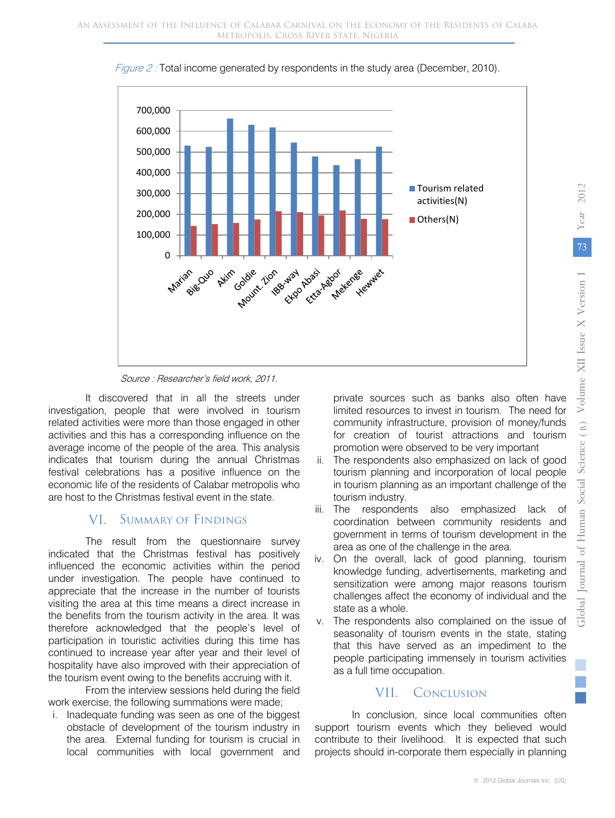

Figure 2: Total income generated by respondents in the study area (December, 2010).

Source : Researcher's field work, 2011.

It discovered that in all the streets under investigation, people that were involved in tourism related activities were more than those engaged in other activities and this has a corresponding influence on the average income of the people of the area. This analysis indicates that tourism during the annual Christmas festival celebrations has a positive influence on the economic life of the residents of Calabar metropolis who are host to the Christmas festival event in the state.

#### Summary of Findings VI.

The result from the questionnaire survey indicated that the Christmas festival has positively influenced the economic activities within the period under investigation. The people have continued to appreciate that the increase in the number of tourists visiting the area at this time means a direct increase in the benefits from the tourism activity in the area. It was therefore acknowledged that the people's level of participation in touristic activities during this time has continued to increase year after year and their level of hospitality have also improved with their appreciation of the tourism event owing to the benefits accruing with it.

From the interview sessions held during the field work exercise, the following summations were made;

i. Inadequate funding was seen as one of the biggest obstacle of development of the tourism industry in the area. External funding for tourism is crucial in local communities with local government and

private sources such as banks also often have limited resources to invest in tourism. The need for community infrastructure, provision of money/funds for creation of tourist attractions and tourism promotion were observed to be very important

- ii. The respondents also emphasized on lack of good tourism planning and incorporation of local people in tourism planning as an important challenge of the tourism industry.
- iii. The respondents also emphasized lack of coordination between community residents and government in terms of tourism development in the area as one of the challenge in the area.
- iv. On the overall, lack of good planning, tourism knowledge funding, advertisements, marketing and sensitization were among major reasons tourism challenges affect the economy of individual and the state as a whole.
- v. The respondents also complained on the issue of seasonality of tourism events in the state, stating that this have served as an impediment to the people participating immensely in tourism activities as a full time occupation.

## VII. Conclusion

In conclusion, since local communities often support tourism events which they believed would contribute to their livelihood. It is expected that such projects should in-corporate them especially in planning